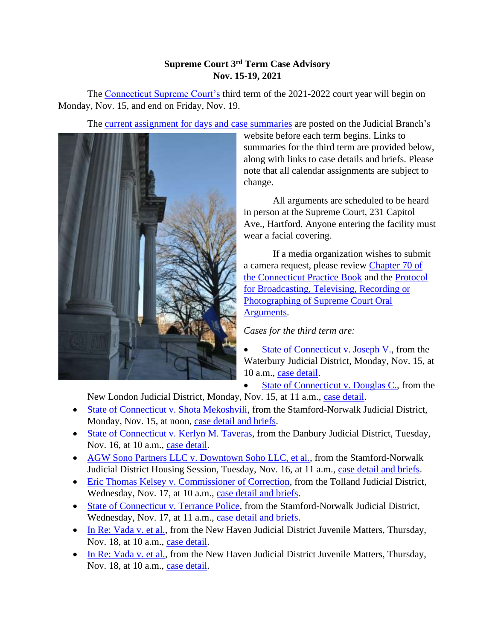## **Supreme Court 3rd Term Case Advisory Nov. 15-19, 2021**

The [Connecticut Supreme Court's](https://jud.ct.gov/supremecourt/) third term of the 2021-2022 court year will begin on Monday, Nov. 15, and end on Friday, Nov. 19.

The [current assignment for days and case summaries](https://www.jud.ct.gov/external/supapp/sup_assign.htm) are posted on the Judicial Branch's



website before each term begins. Links to summaries for the third term are provided below, along with links to case details and briefs. Please note that all calendar assignments are subject to change.

 All arguments are scheduled to be heard in person at the Supreme Court, 231 Capitol Ave., Hartford. Anyone entering the facility must wear a facial covering.

 If a media organization wishes to submit a camera request, please review [Chapter 70 of](https://www.jud.ct.gov/pb.htm)  [the Connecticut Practice Book](https://www.jud.ct.gov/pb.htm) and the [Protocol](https://www.jud.ct.gov/external/supapp/protocol_sup_oral_argu.htm)  [for Broadcasting, Televising, Recording or](https://www.jud.ct.gov/external/supapp/protocol_sup_oral_argu.htm)  [Photographing of Supreme Court Oral](https://www.jud.ct.gov/external/supapp/protocol_sup_oral_argu.htm)  [Arguments.](https://www.jud.ct.gov/external/supapp/protocol_sup_oral_argu.htm)

*Cases for the third term are:* 

[State of Connecticut v. Joseph V.,](https://jud.ct.gov/external/supapp/summaries/docket/20504.htm) from the Waterbury Judicial District, Monday, Nov. 15, at 10 a.m., [case detail.](http://appellateinquiry.jud.ct.gov/CaseDetail.aspx?CRN=74202&Type=AppealNo)

• [State of Connecticut v. Douglas C.,](https://jud.ct.gov/external/supapp/summaries/docket/20456.htm) from the

New London Judicial District, Monday, Nov. 15, at 11 a.m., [case detail.](http://appellateinquiry.jud.ct.gov/CaseDetail.aspx?CRN=73424&Type=AppealNo)

- [State of Connecticut v. Shota Mekoshvili,](https://jud.ct.gov/external/supapp/summaries/docket/20442.htm) from the Stamford-Norwalk Judicial District, Monday, Nov. 15, at noon, [case detail and briefs.](http://appellateinquiry.jud.ct.gov/CaseDetail.aspx?CRN=73169&Type=AppealNo)
- [State of Connecticut v. Kerlyn M. Taveras,](https://jud.ct.gov/external/supapp/summaries/docket/20496.htm) from the Danbury Judicial District, Tuesday, Nov. 16, at 10 a.m., [case detail.](http://appellateinquiry.jud.ct.gov/CaseDetail.aspx?CRN=74144&Type=AppealNo)
- [AGW Sono Partners LLC v. Downtown Soho LLC, et al.,](https://jud.ct.gov/external/supapp/summaries/docket/20625.htm) from the Stamford-Norwalk Judicial District Housing Session, Tuesday, Nov. 16, at 11 a.m., [case detail and briefs.](http://appellateinquiry.jud.ct.gov/CaseDetail.aspx?CRN=75919&Type=AppealNo)
- [Eric Thomas Kelsey v. Commissioner of Correction,](https://jud.ct.gov/external/supapp/summaries/docket/20553.htm) from the Tolland Judicial District, Wednesday, Nov. 17, at 10 a.m., [case detail and briefs.](http://appellateinquiry.jud.ct.gov/CaseDetail.aspx?CRN=74712&Type=AppealNo)
- [State of Connecticut v. Terrance Police,](https://jud.ct.gov/external/supapp/summaries/docket/20528.htm) from the Stamford-Norwalk Judicial District, Wednesday, Nov. 17, at 11 a.m., [case detail and briefs.](http://appellateinquiry.jud.ct.gov/CaseDetail.aspx?CRN=74399&Type=AppealNo)
- [In Re: Vada v. et al.,](https://jud.ct.gov/external/supapp/summaries/docket/20603-20604.htm) from the New Haven Judicial District Juvenile Matters, Thursday, Nov. 18, at 10 a.m., [case detail.](http://appellateinquiry.jud.ct.gov/CaseDetail.aspx?CRN=75547&Type=AppealNo)
- [In Re: Vada v. et al.,](https://jud.ct.gov/external/supapp/summaries/docket/20603-20604.htm) from the New Haven Judicial District Juvenile Matters, Thursday, Nov. 18, at 10 a.m., [case detail.](http://appellateinquiry.jud.ct.gov/CaseDetail.aspx?CRN=75548&Type=AppealNo)